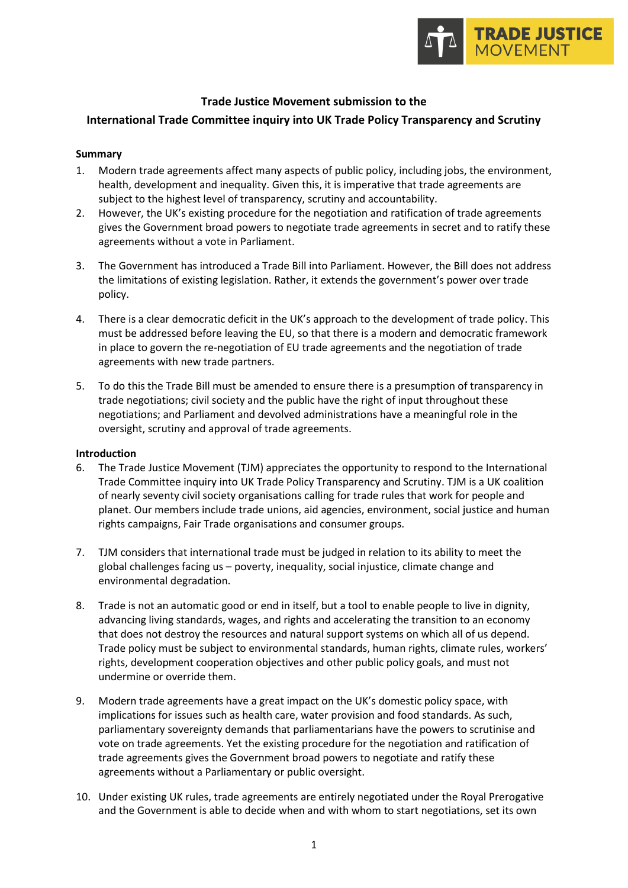

#### **Trade Justice Movement submission to the**

#### **International Trade Committee inquiry into UK Trade Policy Transparency and Scrutiny**

#### **Summary**

- 1. Modern trade agreements affect many aspects of public policy, including jobs, the environment, health, development and inequality. Given this, it is imperative that trade agreements are subject to the highest level of transparency, scrutiny and accountability.
- 2. However, the UK's existing procedure for the negotiation and ratification of trade agreements gives the Government broad powers to negotiate trade agreements in secret and to ratify these agreements without a vote in Parliament.
- 3. The Government has introduced a Trade Bill into Parliament. However, the Bill does not address the limitations of existing legislation. Rather, it extends the government's power over trade policy.
- 4. There is a clear democratic deficit in the UK's approach to the development of trade policy. This must be addressed before leaving the EU, so that there is a modern and democratic framework in place to govern the re-negotiation of EU trade agreements and the negotiation of trade agreements with new trade partners.
- 5. To do this the Trade Bill must be amended to ensure there is a presumption of transparency in trade negotiations; civil society and the public have the right of input throughout these negotiations; and Parliament and devolved administrations have a meaningful role in the oversight, scrutiny and approval of trade agreements.

#### **Introduction**

- 6. The Trade Justice Movement (TJM) appreciates the opportunity to respond to the International Trade Committee inquiry into UK Trade Policy Transparency and Scrutiny. TJM is a UK coalition of nearly seventy civil society organisations calling for trade rules that work for people and planet. Our members include trade unions, aid agencies, environment, social justice and human rights campaigns, Fair Trade organisations and consumer groups.
- 7. TJM considers that international trade must be judged in relation to its ability to meet the global challenges facing us – poverty, inequality, social injustice, climate change and environmental degradation.
- 8. Trade is not an automatic good or end in itself, but a tool to enable people to live in dignity, advancing living standards, wages, and rights and accelerating the transition to an economy that does not destroy the resources and natural support systems on which all of us depend. Trade policy must be subject to environmental standards, human rights, climate rules, workers' rights, development cooperation objectives and other public policy goals, and must not undermine or override them.
- 9. Modern trade agreements have a great impact on the UK's domestic policy space, with implications for issues such as health care, water provision and food standards. As such, parliamentary sovereignty demands that parliamentarians have the powers to scrutinise and vote on trade agreements. Yet the existing procedure for the negotiation and ratification of trade agreements gives the Government broad powers to negotiate and ratify these agreements without a Parliamentary or public oversight.
- 10. Under existing UK rules, trade agreements are entirely negotiated under the Royal Prerogative and the Government is able to decide when and with whom to start negotiations, set its own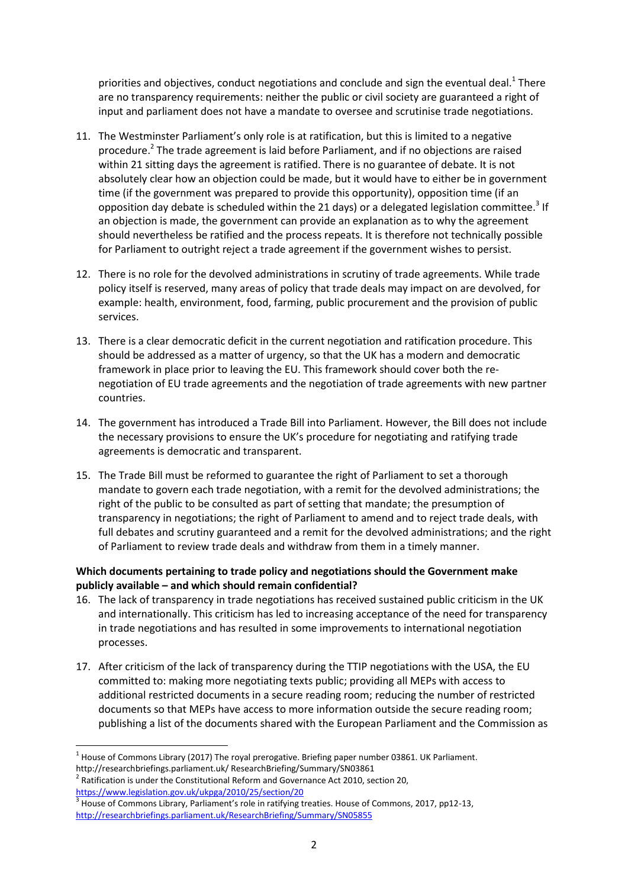priorities and objectives, conduct negotiations and conclude and sign the eventual deal.<sup>1</sup> There are no transparency requirements: neither the public or civil society are guaranteed a right of input and parliament does not have a mandate to oversee and scrutinise trade negotiations.

- 11. The Westminster Parliament's only role is at ratification, but this is limited to a negative procedure.<sup>2</sup> The trade agreement is laid before Parliament, and if no objections are raised within 21 sitting days the agreement is ratified. There is no guarantee of debate. It is not absolutely clear how an objection could be made, but it would have to either be in government time (if the government was prepared to provide this opportunity), opposition time (if an opposition day debate is scheduled within the 21 days) or a delegated legislation committee.<sup>3</sup> If an objection is made, the government can provide an explanation as to why the agreement should nevertheless be ratified and the process repeats. It is therefore not technically possible for Parliament to outright reject a trade agreement if the government wishes to persist.
- 12. There is no role for the devolved administrations in scrutiny of trade agreements. While trade policy itself is reserved, many areas of policy that trade deals may impact on are devolved, for example: health, environment, food, farming, public procurement and the provision of public services.
- 13. There is a clear democratic deficit in the current negotiation and ratification procedure. This should be addressed as a matter of urgency, so that the UK has a modern and democratic framework in place prior to leaving the EU. This framework should cover both the renegotiation of EU trade agreements and the negotiation of trade agreements with new partner countries.
- 14. The government has introduced a Trade Bill into Parliament. However, the Bill does not include the necessary provisions to ensure the UK's procedure for negotiating and ratifying trade agreements is democratic and transparent.
- 15. The Trade Bill must be reformed to guarantee the right of Parliament to set a thorough mandate to govern each trade negotiation, with a remit for the devolved administrations; the right of the public to be consulted as part of setting that mandate; the presumption of transparency in negotiations; the right of Parliament to amend and to reject trade deals, with full debates and scrutiny guaranteed and a remit for the devolved administrations; and the right of Parliament to review trade deals and withdraw from them in a timely manner.

# **Which documents pertaining to trade policy and negotiations should the Government make publicly available – and which should remain confidential?**

- 16. The lack of transparency in trade negotiations has received sustained public criticism in the UK and internationally. This criticism has led to increasing acceptance of the need for transparency in trade negotiations and has resulted in some improvements to international negotiation processes.
- 17. After criticism of the lack of transparency during the TTIP negotiations with the USA, the EU committed to: making more negotiating texts public; providing all MEPs with access to additional restricted documents in a secure reading room; reducing the number of restricted documents so that MEPs have access to more information outside the secure reading room; publishing a list of the documents shared with the European Parliament and the Commission as

1

 $<sup>1</sup>$  House of Commons Library (2017) The royal prerogative. Briefing paper number 03861. UK Parliament.</sup> http://researchbriefings.parliament.uk/ ResearchBriefing/Summary/SN03861

 $2$  Ratification is under the Constitutional Reform and Governance Act 2010, section 20, <https://www.legislation.gov.uk/ukpga/2010/25/section/20>

<sup>&</sup>lt;sup>3</sup> House of Commons Library, Parliament's role in ratifying treaties. House of Commons, 2017, pp12-13, <http://researchbriefings.parliament.uk/ResearchBriefing/Summary/SN05855>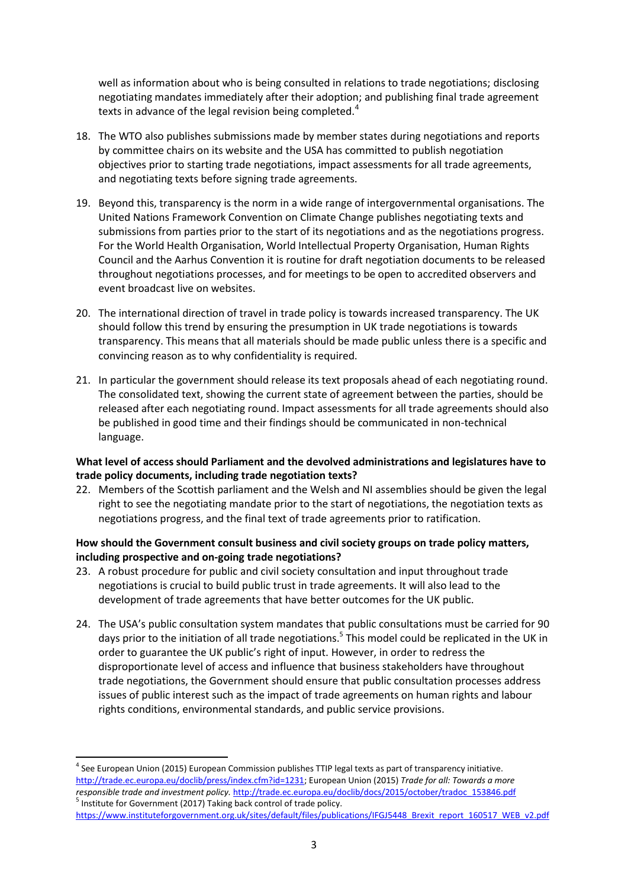well as information about who is being consulted in relations to trade negotiations; disclosing negotiating mandates immediately after their adoption; and publishing final trade agreement texts in advance of the legal revision being completed.<sup>4</sup>

- 18. The WTO also publishes submissions made by member states during negotiations and reports by committee chairs on its website and the USA has committed to publish negotiation objectives prior to starting trade negotiations, impact assessments for all trade agreements, and negotiating texts before signing trade agreements.
- 19. Beyond this, transparency is the norm in a wide range of intergovernmental organisations. The United Nations Framework Convention on Climate Change publishes negotiating texts and submissions from parties prior to the start of its negotiations and as the negotiations progress. For the World Health Organisation, World Intellectual Property Organisation, Human Rights Council and the Aarhus Convention it is routine for draft negotiation documents to be released throughout negotiations processes, and for meetings to be open to accredited observers and event broadcast live on websites.
- 20. The international direction of travel in trade policy is towards increased transparency. The UK should follow this trend by ensuring the presumption in UK trade negotiations is towards transparency. This means that all materials should be made public unless there is a specific and convincing reason as to why confidentiality is required.
- 21. In particular the government should release its text proposals ahead of each negotiating round. The consolidated text, showing the current state of agreement between the parties, should be released after each negotiating round. Impact assessments for all trade agreements should also be published in good time and their findings should be communicated in non-technical language.

## **What level of access should Parliament and the devolved administrations and legislatures have to trade policy documents, including trade negotiation texts?**

22. Members of the Scottish parliament and the Welsh and NI assemblies should be given the legal right to see the negotiating mandate prior to the start of negotiations, the negotiation texts as negotiations progress, and the final text of trade agreements prior to ratification.

## **How should the Government consult business and civil society groups on trade policy matters, including prospective and on-going trade negotiations?**

- 23. A robust procedure for public and civil society consultation and input throughout trade negotiations is crucial to build public trust in trade agreements. It will also lead to the development of trade agreements that have better outcomes for the UK public.
- 24. The USA's public consultation system mandates that public consultations must be carried for 90 days prior to the initiation of all trade negotiations.<sup>5</sup> This model could be replicated in the UK in order to guarantee the UK public's right of input. However, in order to redress the disproportionate level of access and influence that business stakeholders have throughout trade negotiations, the Government should ensure that public consultation processes address issues of public interest such as the impact of trade agreements on human rights and labour rights conditions, environmental standards, and public service provisions.

**<sup>.</sup>** <sup>4</sup> See European Union (2015) European Commission publishes TTIP legal texts as part of transparency initiative. [http://trade.ec.europa.eu/doclib/press/index.cfm?id=1231;](http://trade.ec.europa.eu/doclib/press/index.cfm?id=1231) European Union (2015) *Trade for all: Towards a more responsible trade and investment policy.* [http://trade.ec.europa.eu/doclib/docs/2015/october/tradoc\\_153846.pdf](http://trade.ec.europa.eu/doclib/docs/2015/october/tradoc_153846.pdf)  <sup>5</sup> Institute for Government (2017) Taking back control of trade policy.

[https://www.instituteforgovernment.org.uk/sites/default/files/publications/IFGJ5448\\_Brexit\\_report\\_160517\\_WEB\\_v2.pdf](https://www.instituteforgovernment.org.uk/sites/default/files/publications/IFGJ5448_Brexit_report_160517_WEB_v2.pdf)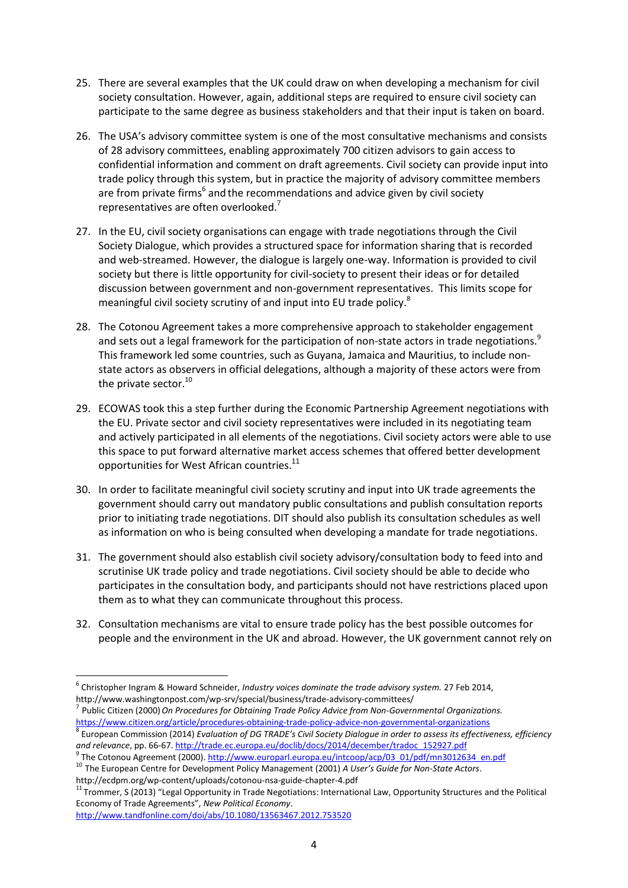- 25. There are several examples that the UK could draw on when developing a mechanism for civil society consultation. However, again, additional steps are required to ensure civil society can participate to the same degree as business stakeholders and that their input is taken on board.
- 26. The USA's advisory committee system is one of the most consultative mechanisms and consists of 28 advisory committees, enabling approximately 700 citizen advisors to gain access to confidential information and comment on draft agreements. Civil society can provide input into trade policy through this system, but in practice the majority of advisory committee members are from private firms<sup>6</sup> and the recommendations and advice given by civil society representatives are often overlooked.
- 27. In the EU, civil society organisations can engage with trade negotiations through the Civil Society Dialogue, which provides a structured space for information sharing that is recorded and web-streamed. However, the dialogue is largely one-way. Information is provided to civil society but there is little opportunity for civil-society to present their ideas or for detailed discussion between government and non-government representatives. This limits scope for meaningful civil society scrutiny of and input into EU trade policy.<sup>8</sup>
- 28. The Cotonou Agreement takes a more comprehensive approach to stakeholder engagement and sets out a legal framework for the participation of non-state actors in trade negotiations.<sup>9</sup> This framework led some countries, such as Guyana, Jamaica and Mauritius, to include nonstate actors as observers in official delegations, although a majority of these actors were from the private sector.<sup>10</sup>
- 29. ECOWAS took this a step further during the Economic Partnership Agreement negotiations with the EU. Private sector and civil society representatives were included in its negotiating team and actively participated in all elements of the negotiations. Civil society actors were able to use this space to put forward alternative market access schemes that offered better development opportunities for West African countries.<sup>11</sup>
- 30. In order to facilitate meaningful civil society scrutiny and input into UK trade agreements the government should carry out mandatory public consultations and publish consultation reports prior to initiating trade negotiations. DIT should also publish its consultation schedules as well as information on who is being consulted when developing a mandate for trade negotiations.
- 31. The government should also establish civil society advisory/consultation body to feed into and scrutinise UK trade policy and trade negotiations. Civil society should be able to decide who participates in the consultation body, and participants should not have restrictions placed upon them as to what they can communicate throughout this process.
- 32. Consultation mechanisms are vital to ensure trade policy has the best possible outcomes for people and the environment in the UK and abroad. However, the UK government cannot rely on

<sup>7</sup> Public Citizen (2000) On Procedures for Obtaining Trade Policy Advice from Non-Governmental Organizations. <https://www.citizen.org/article/procedures-obtaining-trade-policy-advice-non-governmental-organizations>

<sup>11</sup> Trommer, S (2013) "Legal Opportunity in Trade Negotiations: International Law, Opportunity Structures and the Political Economy of Trade Agreements", *New Political Economy*.

<http://www.tandfonline.com/doi/abs/10.1080/13563467.2012.753520>

**.** 

<sup>6</sup> Christopher Ingram & Howard Schneider, *Industry voices dominate the trade advisory system.* 27 Feb 2014, <http://www.washingtonpost.com/wp-srv/special/business/trade-advisory-committees/>

<sup>8</sup> European Commission (2014) *Evaluation of DG TRADE's Civil Society Dialogue in order to assess its effectiveness, efficiency and relevance*, pp. 66-67[. http://trade.ec.europa.eu/doclib/docs/2014/december/tradoc\\_152927.pdf](http://trade.ec.europa.eu/doclib/docs/2014/december/tradoc_152927.pdf)

<sup>&</sup>lt;sup>9</sup> The Cotonou Agreement (2000)[. http://www.europarl.europa.eu/intcoop/acp/03\\_01/pdf/mn3012634\\_en.pdf](http://www.europarl.europa.eu/intcoop/acp/03_01/pdf/mn3012634_en.pdf) <sup>10</sup> The European Centre for Development Policy Management (2001) *A User's Guide for Non-State Actors*. <http://ecdpm.org/wp-content/uploads/cotonou-nsa-guide-chapter-4.pdf>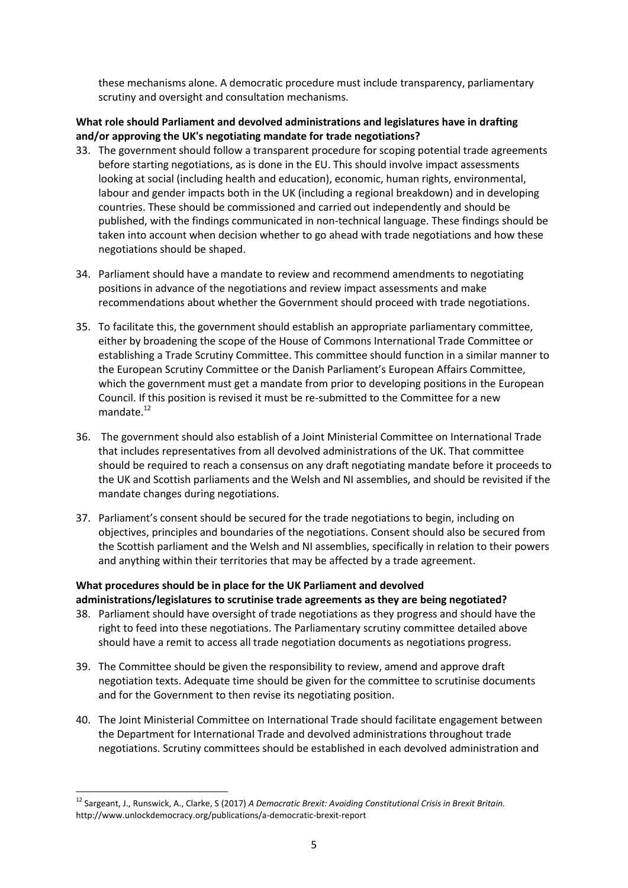these mechanisms alone. A democratic procedure must include transparency, parliamentary scrutiny and oversight and consultation mechanisms.

## **What role should Parliament and devolved administrations and legislatures have in drafting and/or approving the UK's negotiating mandate for trade negotiations?**

- 33. The government should follow a transparent procedure for scoping potential trade agreements before starting negotiations, as is done in the EU. This should involve impact assessments looking at social (including health and education), economic, human rights, environmental, labour and gender impacts both in the UK (including a regional breakdown) and in developing countries. These should be commissioned and carried out independently and should be published, with the findings communicated in non-technical language. These findings should be taken into account when decision whether to go ahead with trade negotiations and how these negotiations should be shaped.
- 34. Parliament should have a mandate to review and recommend amendments to negotiating positions in advance of the negotiations and review impact assessments and make recommendations about whether the Government should proceed with trade negotiations.
- 35. To facilitate this, the government should establish an appropriate parliamentary committee, either by broadening the scope of the House of Commons International Trade Committee or establishing a Trade Scrutiny Committee. This committee should function in a similar manner to the European Scrutiny Committee or the Danish Parliament's European Affairs Committee, which the government must get a mandate from prior to developing positions in the European Council. If this position is revised it must be re-submitted to the Committee for a new mandate $12$
- 36. The government should also establish of a Joint Ministerial Committee on International Trade that includes representatives from all devolved administrations of the UK. That committee should be required to reach a consensus on any draft negotiating mandate before it proceeds to the UK and Scottish parliaments and the Welsh and NI assemblies, and should be revisited if the mandate changes during negotiations.
- 37. Parliament's consent should be secured for the trade negotiations to begin, including on objectives, principles and boundaries of the negotiations. Consent should also be secured from the Scottish parliament and the Welsh and NI assemblies, specifically in relation to their powers and anything within their territories that may be affected by a trade agreement.

# **What procedures should be in place for the UK Parliament and devolved administrations/legislatures to scrutinise trade agreements as they are being negotiated?**

- 38. Parliament should have oversight of trade negotiations as they progress and should have the right to feed into these negotiations. The Parliamentary scrutiny committee detailed above should have a remit to access all trade negotiation documents as negotiations progress.
- 39. The Committee should be given the responsibility to review, amend and approve draft negotiation texts. Adequate time should be given for the committee to scrutinise documents and for the Government to then revise its negotiating position.
- 40. The Joint Ministerial Committee on International Trade should facilitate engagement between the Department for International Trade and devolved administrations throughout trade negotiations. Scrutiny committees should be established in each devolved administration and

 $\overline{a}$ 

<sup>12</sup> Sargeant, J., Runswick, A., Clarke, S (2017) *A Democratic Brexit: Avoiding Constitutional Crisis in Brexit Britain.* <http://www.unlockdemocracy.org/publications/a-democratic-brexit-report>